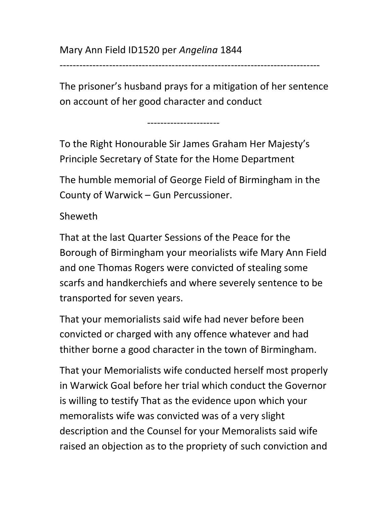-------------------------------------------------------------------------------

The prisoner's husband prays for a mitigation of her sentence on account of her good character and conduct

----------------------

To the Right Honourable Sir James Graham Her Majesty's Principle Secretary of State for the Home Department

The humble memorial of George Field of Birmingham in the County of Warwick – Gun Percussioner.

Sheweth

That at the last Quarter Sessions of the Peace for the Borough of Birmingham your meorialists wife Mary Ann Field and one Thomas Rogers were convicted of stealing some scarfs and handkerchiefs and where severely sentence to be transported for seven years.

That your memorialists said wife had never before been convicted or charged with any offence whatever and had thither borne a good character in the town of Birmingham.

That your Memorialists wife conducted herself most properly in Warwick Goal before her trial which conduct the Governor is willing to testify That as the evidence upon which your memoralists wife was convicted was of a very slight description and the Counsel for your Memoralists said wife raised an objection as to the propriety of such conviction and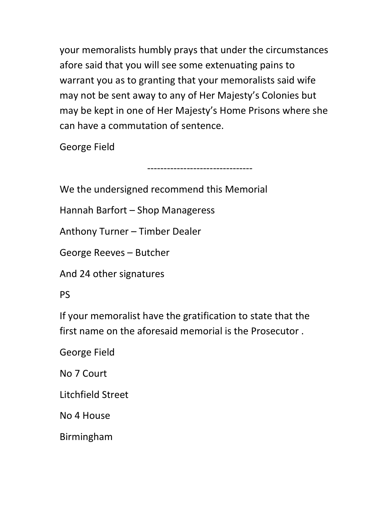your memoralists humbly prays that under the circumstances afore said that you will see some extenuating pains to warrant you as to granting that your memoralists said wife may not be sent away to any of Her Majesty's Colonies but may be kept in one of Her Majesty's Home Prisons where she can have a commutation of sentence.

George Field

--------------------------------

We the undersigned recommend this Memorial

Hannah Barfort – Shop Manageress

Anthony Turner – Timber Dealer

George Reeves – Butcher

And 24 other signatures

PS

If your memoralist have the gratification to state that the first name on the aforesaid memorial is the Prosecutor .

George Field

No 7 Court

Litchfield Street

No 4 House

Birmingham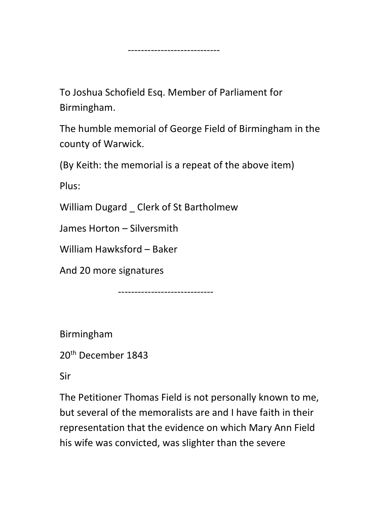To Joshua Schofield Esq. Member of Parliament for Birmingham.

----------------------------

The humble memorial of George Field of Birmingham in the county of Warwick.

(By Keith: the memorial is a repeat of the above item)

Plus:

William Dugard \_ Clerk of St Bartholmew

James Horton – Silversmith

William Hawksford – Baker

And 20 more signatures

-----------------------------

Birmingham

20<sup>th</sup> December 1843

Sir

The Petitioner Thomas Field is not personally known to me, but several of the memoralists are and I have faith in their representation that the evidence on which Mary Ann Field his wife was convicted, was slighter than the severe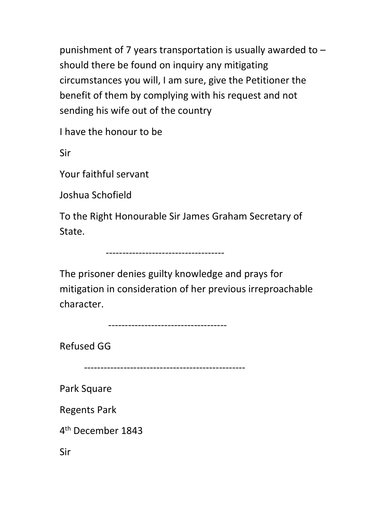punishment of 7 years transportation is usually awarded to – should there be found on inquiry any mitigating circumstances you will, I am sure, give the Petitioner the benefit of them by complying with his request and not sending his wife out of the country

I have the honour to be

Sir

Your faithful servant

Joshua Schofield

To the Right Honourable Sir James Graham Secretary of State.

The prisoner denies guilty knowledge and prays for mitigation in consideration of her previous irreproachable character.

------------------------------------

------------------------------------

Refused GG

-------------------------------------------------

Park Square

Regents Park

4 th December 1843

Sir